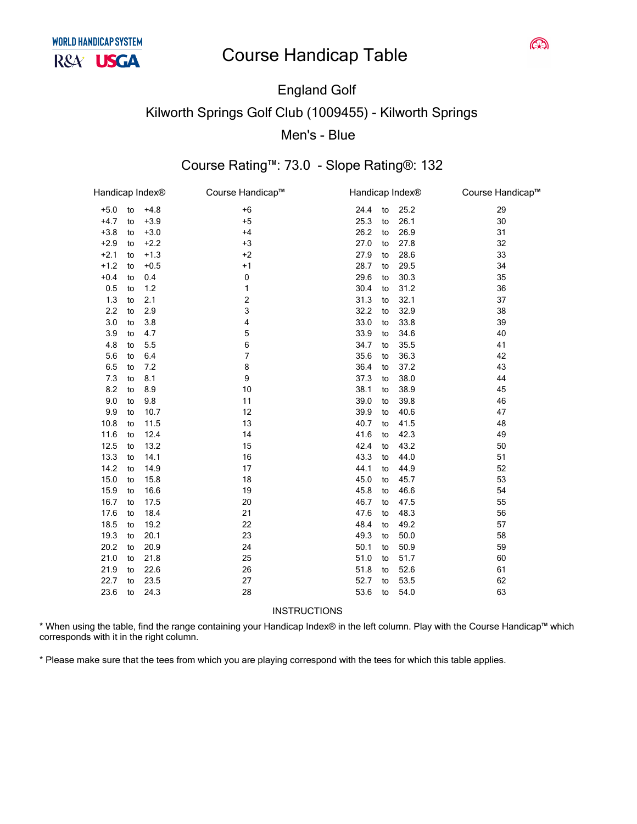# **England Golf Kilworth Springs Golf Club (1009455) - Kilworth Springs** Men's - Blue

## Course Rating™: 73.0 - Slope Rating®: 132

| $+6$<br>24.4<br>29<br>$+5.0$<br>$+4.8$<br>25.2<br>to<br>to<br>$+4.7$<br>$+5$<br>$+3.9$<br>25.3<br>26.1<br>30<br>to<br>to<br>$+3.8$<br>26.2<br>26.9<br>$+3.0$<br>$+4$<br>31<br>to<br>to<br>$+2.9$<br>$+3$<br>27.0<br>27.8<br>32<br>$+2.2$<br>to<br>to<br>27.9<br>33<br>$+2.1$<br>$+1.3$<br>$+2$<br>28.6<br>to<br>to<br>$+1.2$<br>$+1$<br>28.7<br>29.5<br>34<br>$+0.5$<br>to<br>to<br>29.6<br>$+0.4$<br>0<br>30.3<br>35<br>0.4<br>to<br>to<br>1<br>30.4<br>31.2<br>36<br>0.5<br>1.2<br>to<br>to<br>2<br>1.3<br>31.3<br>32.1<br>37<br>2.1<br>to<br>to<br>3<br>2.2<br>32.2<br>32.9<br>38<br>2.9<br>to<br>to<br>3.0<br>3.8<br>4<br>33.0<br>33.8<br>39<br>to<br>to<br>5<br>40<br>3.9<br>4.7<br>33.9<br>34.6<br>to<br>to<br>6<br>4.8<br>34.7<br>35.5<br>41<br>5.5<br>to<br>to<br>7<br>5.6<br>6.4<br>35.6<br>36.3<br>42<br>to<br>to<br>8<br>36.4<br>43<br>6.5<br>7.2<br>37.2<br>to<br>to<br>9<br>7.3<br>8.1<br>37.3<br>38.0<br>44<br>to<br>to<br>8.2<br>8.9<br>10<br>38.1<br>38.9<br>45<br>to<br>to<br>9.0<br>9.8<br>11<br>39.0<br>46<br>39.8<br>to<br>to<br>12<br>9.9<br>10.7<br>39.9<br>40.6<br>47<br>to<br>to<br>13<br>40.7<br>48<br>10.8<br>11.5<br>41.5<br>to<br>to<br>41.6<br>11.6<br>14<br>42.3<br>49<br>12.4<br>to<br>to<br>42.4<br>12.5<br>13.2<br>15<br>43.2<br>50<br>to<br>to<br>13.3<br>16<br>43.3<br>51<br>14.1<br>44.0<br>to<br>to<br>44.1<br>14.2<br>17<br>44.9<br>52<br>14.9<br>to<br>to<br>45.0<br>53<br>15.0<br>15.8<br>18<br>45.7<br>to<br>to<br>16.6<br>19<br>45.8<br>46.6<br>54<br>15.9<br>to<br>to<br>16.7<br>20<br>46.7<br>55<br>17.5<br>47.5<br>to<br>to<br>21<br>56<br>17.6<br>18.4<br>47.6<br>48.3<br>to<br>to<br>18.5<br>22<br>48.4<br>49.2<br>57<br>19.2<br>to<br>to<br>23<br>19.3<br>20.1<br>49.3<br>50.0<br>58<br>to<br>to<br>20.2<br>50.1<br>20.9<br>24<br>50.9<br>59<br>to<br>to<br>21.0<br>21.8<br>25<br>51.0<br>51.7<br>60<br>to<br>to<br>26<br>52.6<br>21.9<br>22.6<br>51.8<br>61<br>to<br>to<br>27<br>52.7<br>53.5<br>62<br>22.7<br>23.5<br>to<br>to<br>23.6<br>28<br>53.6<br>54.0<br>63<br>24.3<br>to<br>to | Handicap Index <sup>®</sup> |  | Course Handicap™ | Handicap Index® |  | Course Handicap™ |
|------------------------------------------------------------------------------------------------------------------------------------------------------------------------------------------------------------------------------------------------------------------------------------------------------------------------------------------------------------------------------------------------------------------------------------------------------------------------------------------------------------------------------------------------------------------------------------------------------------------------------------------------------------------------------------------------------------------------------------------------------------------------------------------------------------------------------------------------------------------------------------------------------------------------------------------------------------------------------------------------------------------------------------------------------------------------------------------------------------------------------------------------------------------------------------------------------------------------------------------------------------------------------------------------------------------------------------------------------------------------------------------------------------------------------------------------------------------------------------------------------------------------------------------------------------------------------------------------------------------------------------------------------------------------------------------------------------------------------------------------------------------------------------------------------------------------------------------------------------------------------------------------------------------------------------------------------------------------------------------------------------------------------------------|-----------------------------|--|------------------|-----------------|--|------------------|
|                                                                                                                                                                                                                                                                                                                                                                                                                                                                                                                                                                                                                                                                                                                                                                                                                                                                                                                                                                                                                                                                                                                                                                                                                                                                                                                                                                                                                                                                                                                                                                                                                                                                                                                                                                                                                                                                                                                                                                                                                                          |                             |  |                  |                 |  |                  |
|                                                                                                                                                                                                                                                                                                                                                                                                                                                                                                                                                                                                                                                                                                                                                                                                                                                                                                                                                                                                                                                                                                                                                                                                                                                                                                                                                                                                                                                                                                                                                                                                                                                                                                                                                                                                                                                                                                                                                                                                                                          |                             |  |                  |                 |  |                  |
|                                                                                                                                                                                                                                                                                                                                                                                                                                                                                                                                                                                                                                                                                                                                                                                                                                                                                                                                                                                                                                                                                                                                                                                                                                                                                                                                                                                                                                                                                                                                                                                                                                                                                                                                                                                                                                                                                                                                                                                                                                          |                             |  |                  |                 |  |                  |
|                                                                                                                                                                                                                                                                                                                                                                                                                                                                                                                                                                                                                                                                                                                                                                                                                                                                                                                                                                                                                                                                                                                                                                                                                                                                                                                                                                                                                                                                                                                                                                                                                                                                                                                                                                                                                                                                                                                                                                                                                                          |                             |  |                  |                 |  |                  |
|                                                                                                                                                                                                                                                                                                                                                                                                                                                                                                                                                                                                                                                                                                                                                                                                                                                                                                                                                                                                                                                                                                                                                                                                                                                                                                                                                                                                                                                                                                                                                                                                                                                                                                                                                                                                                                                                                                                                                                                                                                          |                             |  |                  |                 |  |                  |
|                                                                                                                                                                                                                                                                                                                                                                                                                                                                                                                                                                                                                                                                                                                                                                                                                                                                                                                                                                                                                                                                                                                                                                                                                                                                                                                                                                                                                                                                                                                                                                                                                                                                                                                                                                                                                                                                                                                                                                                                                                          |                             |  |                  |                 |  |                  |
|                                                                                                                                                                                                                                                                                                                                                                                                                                                                                                                                                                                                                                                                                                                                                                                                                                                                                                                                                                                                                                                                                                                                                                                                                                                                                                                                                                                                                                                                                                                                                                                                                                                                                                                                                                                                                                                                                                                                                                                                                                          |                             |  |                  |                 |  |                  |
|                                                                                                                                                                                                                                                                                                                                                                                                                                                                                                                                                                                                                                                                                                                                                                                                                                                                                                                                                                                                                                                                                                                                                                                                                                                                                                                                                                                                                                                                                                                                                                                                                                                                                                                                                                                                                                                                                                                                                                                                                                          |                             |  |                  |                 |  |                  |
|                                                                                                                                                                                                                                                                                                                                                                                                                                                                                                                                                                                                                                                                                                                                                                                                                                                                                                                                                                                                                                                                                                                                                                                                                                                                                                                                                                                                                                                                                                                                                                                                                                                                                                                                                                                                                                                                                                                                                                                                                                          |                             |  |                  |                 |  |                  |
|                                                                                                                                                                                                                                                                                                                                                                                                                                                                                                                                                                                                                                                                                                                                                                                                                                                                                                                                                                                                                                                                                                                                                                                                                                                                                                                                                                                                                                                                                                                                                                                                                                                                                                                                                                                                                                                                                                                                                                                                                                          |                             |  |                  |                 |  |                  |
|                                                                                                                                                                                                                                                                                                                                                                                                                                                                                                                                                                                                                                                                                                                                                                                                                                                                                                                                                                                                                                                                                                                                                                                                                                                                                                                                                                                                                                                                                                                                                                                                                                                                                                                                                                                                                                                                                                                                                                                                                                          |                             |  |                  |                 |  |                  |
|                                                                                                                                                                                                                                                                                                                                                                                                                                                                                                                                                                                                                                                                                                                                                                                                                                                                                                                                                                                                                                                                                                                                                                                                                                                                                                                                                                                                                                                                                                                                                                                                                                                                                                                                                                                                                                                                                                                                                                                                                                          |                             |  |                  |                 |  |                  |
|                                                                                                                                                                                                                                                                                                                                                                                                                                                                                                                                                                                                                                                                                                                                                                                                                                                                                                                                                                                                                                                                                                                                                                                                                                                                                                                                                                                                                                                                                                                                                                                                                                                                                                                                                                                                                                                                                                                                                                                                                                          |                             |  |                  |                 |  |                  |
|                                                                                                                                                                                                                                                                                                                                                                                                                                                                                                                                                                                                                                                                                                                                                                                                                                                                                                                                                                                                                                                                                                                                                                                                                                                                                                                                                                                                                                                                                                                                                                                                                                                                                                                                                                                                                                                                                                                                                                                                                                          |                             |  |                  |                 |  |                  |
|                                                                                                                                                                                                                                                                                                                                                                                                                                                                                                                                                                                                                                                                                                                                                                                                                                                                                                                                                                                                                                                                                                                                                                                                                                                                                                                                                                                                                                                                                                                                                                                                                                                                                                                                                                                                                                                                                                                                                                                                                                          |                             |  |                  |                 |  |                  |
|                                                                                                                                                                                                                                                                                                                                                                                                                                                                                                                                                                                                                                                                                                                                                                                                                                                                                                                                                                                                                                                                                                                                                                                                                                                                                                                                                                                                                                                                                                                                                                                                                                                                                                                                                                                                                                                                                                                                                                                                                                          |                             |  |                  |                 |  |                  |
|                                                                                                                                                                                                                                                                                                                                                                                                                                                                                                                                                                                                                                                                                                                                                                                                                                                                                                                                                                                                                                                                                                                                                                                                                                                                                                                                                                                                                                                                                                                                                                                                                                                                                                                                                                                                                                                                                                                                                                                                                                          |                             |  |                  |                 |  |                  |
|                                                                                                                                                                                                                                                                                                                                                                                                                                                                                                                                                                                                                                                                                                                                                                                                                                                                                                                                                                                                                                                                                                                                                                                                                                                                                                                                                                                                                                                                                                                                                                                                                                                                                                                                                                                                                                                                                                                                                                                                                                          |                             |  |                  |                 |  |                  |
|                                                                                                                                                                                                                                                                                                                                                                                                                                                                                                                                                                                                                                                                                                                                                                                                                                                                                                                                                                                                                                                                                                                                                                                                                                                                                                                                                                                                                                                                                                                                                                                                                                                                                                                                                                                                                                                                                                                                                                                                                                          |                             |  |                  |                 |  |                  |
|                                                                                                                                                                                                                                                                                                                                                                                                                                                                                                                                                                                                                                                                                                                                                                                                                                                                                                                                                                                                                                                                                                                                                                                                                                                                                                                                                                                                                                                                                                                                                                                                                                                                                                                                                                                                                                                                                                                                                                                                                                          |                             |  |                  |                 |  |                  |
|                                                                                                                                                                                                                                                                                                                                                                                                                                                                                                                                                                                                                                                                                                                                                                                                                                                                                                                                                                                                                                                                                                                                                                                                                                                                                                                                                                                                                                                                                                                                                                                                                                                                                                                                                                                                                                                                                                                                                                                                                                          |                             |  |                  |                 |  |                  |
|                                                                                                                                                                                                                                                                                                                                                                                                                                                                                                                                                                                                                                                                                                                                                                                                                                                                                                                                                                                                                                                                                                                                                                                                                                                                                                                                                                                                                                                                                                                                                                                                                                                                                                                                                                                                                                                                                                                                                                                                                                          |                             |  |                  |                 |  |                  |
|                                                                                                                                                                                                                                                                                                                                                                                                                                                                                                                                                                                                                                                                                                                                                                                                                                                                                                                                                                                                                                                                                                                                                                                                                                                                                                                                                                                                                                                                                                                                                                                                                                                                                                                                                                                                                                                                                                                                                                                                                                          |                             |  |                  |                 |  |                  |
|                                                                                                                                                                                                                                                                                                                                                                                                                                                                                                                                                                                                                                                                                                                                                                                                                                                                                                                                                                                                                                                                                                                                                                                                                                                                                                                                                                                                                                                                                                                                                                                                                                                                                                                                                                                                                                                                                                                                                                                                                                          |                             |  |                  |                 |  |                  |
|                                                                                                                                                                                                                                                                                                                                                                                                                                                                                                                                                                                                                                                                                                                                                                                                                                                                                                                                                                                                                                                                                                                                                                                                                                                                                                                                                                                                                                                                                                                                                                                                                                                                                                                                                                                                                                                                                                                                                                                                                                          |                             |  |                  |                 |  |                  |
|                                                                                                                                                                                                                                                                                                                                                                                                                                                                                                                                                                                                                                                                                                                                                                                                                                                                                                                                                                                                                                                                                                                                                                                                                                                                                                                                                                                                                                                                                                                                                                                                                                                                                                                                                                                                                                                                                                                                                                                                                                          |                             |  |                  |                 |  |                  |
|                                                                                                                                                                                                                                                                                                                                                                                                                                                                                                                                                                                                                                                                                                                                                                                                                                                                                                                                                                                                                                                                                                                                                                                                                                                                                                                                                                                                                                                                                                                                                                                                                                                                                                                                                                                                                                                                                                                                                                                                                                          |                             |  |                  |                 |  |                  |
|                                                                                                                                                                                                                                                                                                                                                                                                                                                                                                                                                                                                                                                                                                                                                                                                                                                                                                                                                                                                                                                                                                                                                                                                                                                                                                                                                                                                                                                                                                                                                                                                                                                                                                                                                                                                                                                                                                                                                                                                                                          |                             |  |                  |                 |  |                  |
|                                                                                                                                                                                                                                                                                                                                                                                                                                                                                                                                                                                                                                                                                                                                                                                                                                                                                                                                                                                                                                                                                                                                                                                                                                                                                                                                                                                                                                                                                                                                                                                                                                                                                                                                                                                                                                                                                                                                                                                                                                          |                             |  |                  |                 |  |                  |
|                                                                                                                                                                                                                                                                                                                                                                                                                                                                                                                                                                                                                                                                                                                                                                                                                                                                                                                                                                                                                                                                                                                                                                                                                                                                                                                                                                                                                                                                                                                                                                                                                                                                                                                                                                                                                                                                                                                                                                                                                                          |                             |  |                  |                 |  |                  |
|                                                                                                                                                                                                                                                                                                                                                                                                                                                                                                                                                                                                                                                                                                                                                                                                                                                                                                                                                                                                                                                                                                                                                                                                                                                                                                                                                                                                                                                                                                                                                                                                                                                                                                                                                                                                                                                                                                                                                                                                                                          |                             |  |                  |                 |  |                  |
|                                                                                                                                                                                                                                                                                                                                                                                                                                                                                                                                                                                                                                                                                                                                                                                                                                                                                                                                                                                                                                                                                                                                                                                                                                                                                                                                                                                                                                                                                                                                                                                                                                                                                                                                                                                                                                                                                                                                                                                                                                          |                             |  |                  |                 |  |                  |
|                                                                                                                                                                                                                                                                                                                                                                                                                                                                                                                                                                                                                                                                                                                                                                                                                                                                                                                                                                                                                                                                                                                                                                                                                                                                                                                                                                                                                                                                                                                                                                                                                                                                                                                                                                                                                                                                                                                                                                                                                                          |                             |  |                  |                 |  |                  |
|                                                                                                                                                                                                                                                                                                                                                                                                                                                                                                                                                                                                                                                                                                                                                                                                                                                                                                                                                                                                                                                                                                                                                                                                                                                                                                                                                                                                                                                                                                                                                                                                                                                                                                                                                                                                                                                                                                                                                                                                                                          |                             |  |                  |                 |  |                  |
|                                                                                                                                                                                                                                                                                                                                                                                                                                                                                                                                                                                                                                                                                                                                                                                                                                                                                                                                                                                                                                                                                                                                                                                                                                                                                                                                                                                                                                                                                                                                                                                                                                                                                                                                                                                                                                                                                                                                                                                                                                          |                             |  |                  |                 |  |                  |

INSTRUCTIONS

\* When using the table, find the range containing your Handicap Index® in the left column. Play with the Course Handicap™ which corresponds with it in the right column.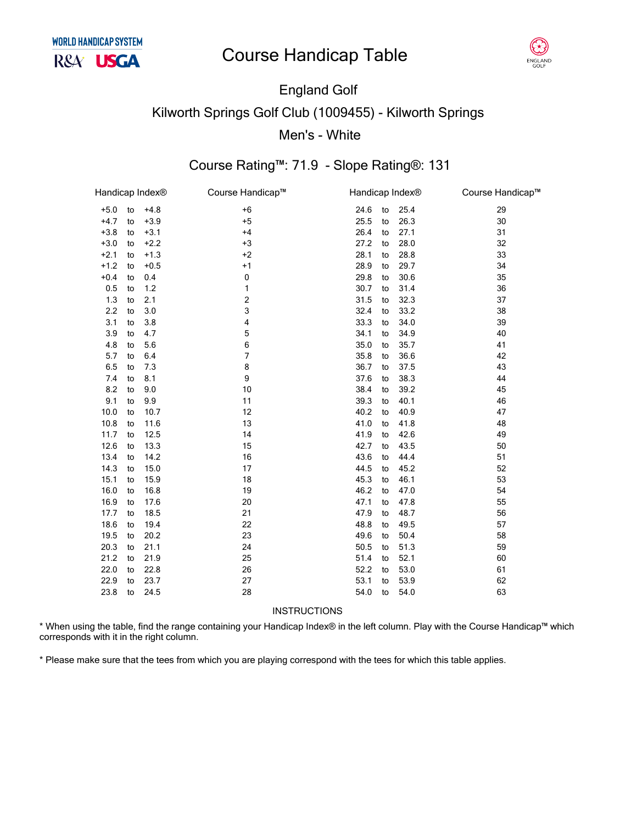

# England Golf Kilworth Springs Golf Club (1009455) - Kilworth Springs Men's - White

#### Course Rating™: 71.9 - Slope Rating®: 131

| Handicap Index® |    |        | Course Handicap™ | Handicap Index <sup>®</sup> |    |      | Course Handicap™ |
|-----------------|----|--------|------------------|-----------------------------|----|------|------------------|
| $+5.0$          | to | $+4.8$ | $+6$             | 24.6                        | to | 25.4 | 29               |
| $+4.7$          | to | $+3.9$ | $+5$             | 25.5                        | to | 26.3 | 30               |
| $+3.8$          | to | $+3.1$ | $+4$             | 26.4                        | to | 27.1 | 31               |
| $+3.0$          | to | $+2.2$ | $+3$             | 27.2                        | to | 28.0 | 32               |
| $+2.1$          | to | $+1.3$ | $+2$             | 28.1                        | to | 28.8 | 33               |
| $+1.2$          | to | $+0.5$ | $+1$             | 28.9                        | to | 29.7 | 34               |
| $+0.4$          | to | 0.4    | 0                | 29.8                        | to | 30.6 | 35               |
| 0.5             | to | 1.2    | 1                | 30.7                        | to | 31.4 | 36               |
| 1.3             | to | 2.1    | 2                | 31.5                        | to | 32.3 | 37               |
| 2.2             | to | 3.0    | 3                | 32.4                        | to | 33.2 | 38               |
| 3.1             | to | 3.8    | 4                | 33.3                        | to | 34.0 | 39               |
| 3.9             | to | 4.7    | 5                | 34.1                        | to | 34.9 | 40               |
| 4.8             | to | 5.6    | 6                | 35.0                        | to | 35.7 | 41               |
| 5.7             | to | 6.4    | 7                | 35.8                        | to | 36.6 | 42               |
| 6.5             | to | 7.3    | 8                | 36.7                        | to | 37.5 | 43               |
| 7.4             | to | 8.1    | 9                | 37.6                        | to | 38.3 | 44               |
| 8.2             | to | 9.0    | 10               | 38.4                        | to | 39.2 | 45               |
| 9.1             | to | 9.9    | 11               | 39.3                        | to | 40.1 | 46               |
| 10.0            | to | 10.7   | 12               | 40.2                        | to | 40.9 | 47               |
| 10.8            | to | 11.6   | 13               | 41.0                        | to | 41.8 | 48               |
| 11.7            | to | 12.5   | 14               | 41.9                        | to | 42.6 | 49               |
| 12.6            | to | 13.3   | 15               | 42.7                        | to | 43.5 | 50               |
| 13.4            | to | 14.2   | 16               | 43.6                        | to | 44.4 | 51               |
| 14.3            | to | 15.0   | 17               | 44.5                        | to | 45.2 | 52               |
| 15.1            | to | 15.9   | 18               | 45.3                        | to | 46.1 | 53               |
| 16.0            | to | 16.8   | 19               | 46.2                        | to | 47.0 | 54               |
| 16.9            | to | 17.6   | 20               | 47.1                        | to | 47.8 | 55               |
| 17.7            | to | 18.5   | 21               | 47.9                        | to | 48.7 | 56               |
| 18.6            | to | 19.4   | 22               | 48.8                        | to | 49.5 | 57               |
| 19.5            | to | 20.2   | 23               | 49.6                        | to | 50.4 | 58               |
| 20.3            | to | 21.1   | 24               | 50.5                        | to | 51.3 | 59               |
| 21.2            | to | 21.9   | 25               | 51.4                        | to | 52.1 | 60               |
| 22.0            | to | 22.8   | 26               | 52.2                        | to | 53.0 | 61               |
| 22.9            | to | 23.7   | 27               | 53.1                        | to | 53.9 | 62               |
| 23.8            | to | 24.5   | 28               | 54.0                        | to | 54.0 | 63               |
|                 |    |        |                  |                             |    |      |                  |

INSTRUCTIONS

\* When using the table, find the range containing your Handicap Index® in the left column. Play with the Course Handicap™ which corresponds with it in the right column.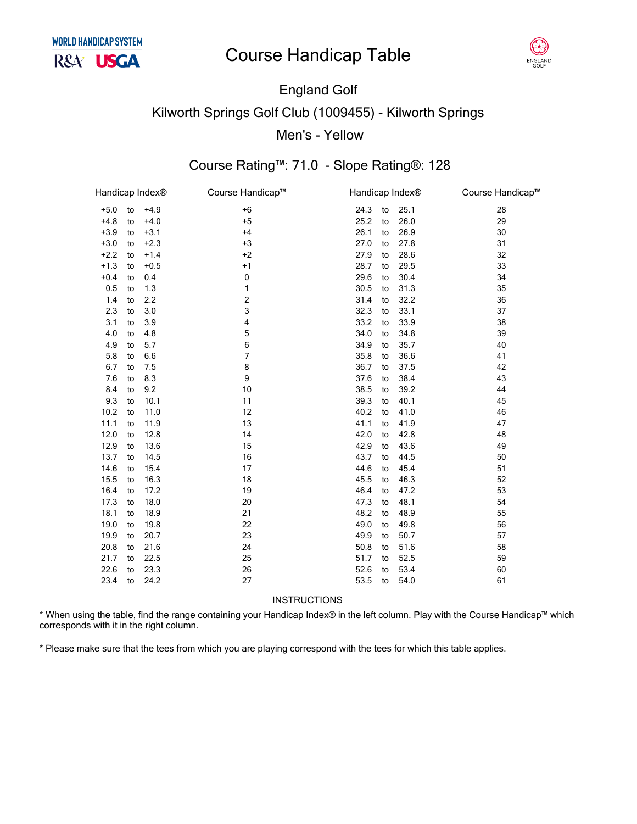

## England Golf Kilworth Springs Golf Club (1009455) - Kilworth Springs Men's - Yellow

## Course Rating™: 71.0 - Slope Rating®: 128

| Handicap Index® |    |        | Course Handicap™ |      | Handicap Index® |      | Course Handicap™ |
|-----------------|----|--------|------------------|------|-----------------|------|------------------|
| $+5.0$          | to | $+4.9$ | $+6$             | 24.3 | to              | 25.1 | 28               |
| $+4.8$          | to | $+4.0$ | $+5$             | 25.2 | to              | 26.0 | 29               |
| $+3.9$          | to | $+3.1$ | $+4$             | 26.1 | to              | 26.9 | 30               |
| $+3.0$          | to | $+2.3$ | $+3$             | 27.0 | to              | 27.8 | 31               |
| $+2.2$          | to | $+1.4$ | $+2$             | 27.9 | to              | 28.6 | 32               |
| $+1.3$          | to | $+0.5$ | $+1$             | 28.7 | to              | 29.5 | 33               |
| $+0.4$          | to | 0.4    | 0                | 29.6 | to              | 30.4 | 34               |
| 0.5             | to | 1.3    | 1                | 30.5 | to              | 31.3 | 35               |
| 1.4             | to | 2.2    | 2                | 31.4 | to              | 32.2 | 36               |
| 2.3             | to | 3.0    | 3                | 32.3 | to              | 33.1 | 37               |
| 3.1             | to | 3.9    | $\overline{4}$   | 33.2 | to              | 33.9 | 38               |
| 4.0             | to | 4.8    | 5                | 34.0 | to              | 34.8 | 39               |
| 4.9             | to | 5.7    | 6                | 34.9 | to              | 35.7 | 40               |
| 5.8             | to | 6.6    | 7                | 35.8 | to              | 36.6 | 41               |
| 6.7             | to | 7.5    | 8                | 36.7 | to              | 37.5 | 42               |
| 7.6             | to | 8.3    | 9                | 37.6 | to              | 38.4 | 43               |
| 8.4             | to | 9.2    | 10               | 38.5 | to              | 39.2 | 44               |
| 9.3             | to | 10.1   | 11               | 39.3 | to              | 40.1 | 45               |
| 10.2            | to | 11.0   | 12               | 40.2 | to              | 41.0 | 46               |
| 11.1            | to | 11.9   | 13               | 41.1 | to              | 41.9 | 47               |
| 12.0            | to | 12.8   | 14               | 42.0 | to              | 42.8 | 48               |
| 12.9            | to | 13.6   | 15               | 42.9 | to              | 43.6 | 49               |
| 13.7            | to | 14.5   | 16               | 43.7 | to              | 44.5 | 50               |
| 14.6            | to | 15.4   | 17               | 44.6 | to              | 45.4 | 51               |
| 15.5            | to | 16.3   | 18               | 45.5 | to              | 46.3 | 52               |
| 16.4            | to | 17.2   | 19               | 46.4 | to              | 47.2 | 53               |
| 17.3            | to | 18.0   | 20               | 47.3 | to              | 48.1 | 54               |
| 18.1            | to | 18.9   | 21               | 48.2 | to              | 48.9 | 55               |
| 19.0            | to | 19.8   | 22               | 49.0 | to              | 49.8 | 56               |
| 19.9            | to | 20.7   | 23               | 49.9 | to              | 50.7 | 57               |
| 20.8            | to | 21.6   | 24               | 50.8 | to              | 51.6 | 58               |
| 21.7            | to | 22.5   | 25               | 51.7 | to              | 52.5 | 59               |
| 22.6            | to | 23.3   | 26               | 52.6 | to              | 53.4 | 60               |
| 23.4            | to | 24.2   | 27               | 53.5 | to              | 54.0 | 61               |

**INSTRUCTIONS** 

\* When using the table, find the range containing your Handicap Index® in the left column. Play with the Course Handicap™ which corresponds with it in the right column.